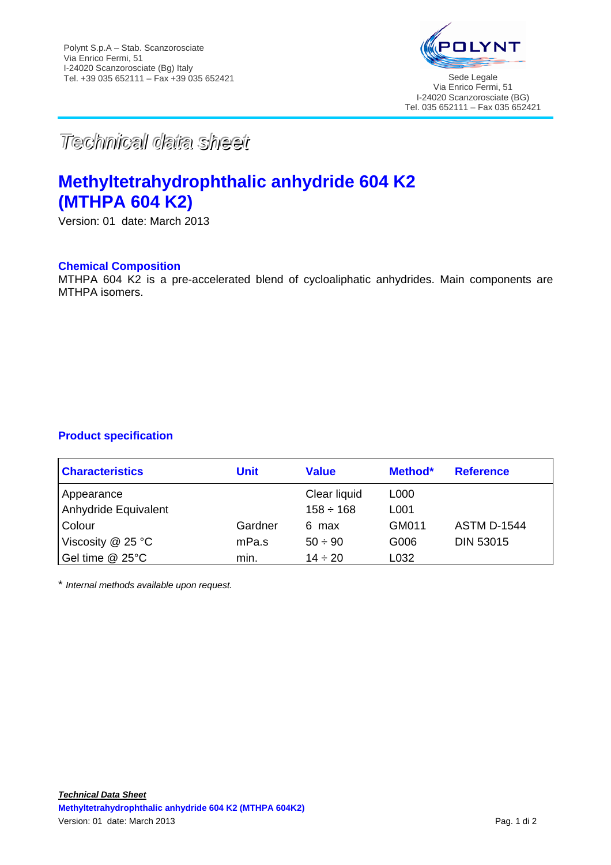

*TTeecchhnniiccaall ddaattaa sshheeeett*

# **Methyltetrahydrophthalic anhydride 604 K2 (MTHPA 604 K2)**

Version: 01 date: March 2013

### **Chemical Composition**

MTHPA 604 K2 is a pre-accelerated blend of cycloaliphatic anhydrides. Main components are MTHPA isomers.

# **Product specification**

| <b>Characteristics</b> | Unit    | <b>Value</b>   | Method* | <b>Reference</b>   |
|------------------------|---------|----------------|---------|--------------------|
| Appearance             |         | Clear liquid   | L000    |                    |
| Anhydride Equivalent   |         | $158 \div 168$ | L001    |                    |
| Colour                 | Gardner | 6 max          | GM011   | <b>ASTM D-1544</b> |
| Viscosity $@$ 25 °C    | mPa.s   | $50 \div 90$   | G006    | <b>DIN 53015</b>   |
| Gel time @ 25°C        | min.    | $14 \div 20$   | L032    |                    |

\* *Internal methods available upon request.*